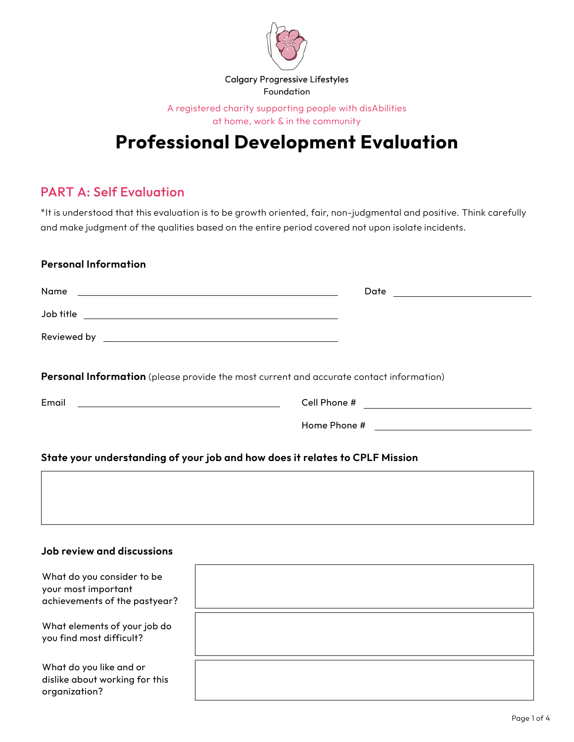

A registered charity supporting people with disAbilities at home, work & in the community

# **Professional Development Evaluation**

## PART A: Self Evaluation

\*It is understood that this evaluation is to be growth oriented, fair, non-judgmental and positive. Think carefully and make judgment of the qualities based on the entire period covered not upon isolate incidents.

#### **Personal Information**

|                                                                                         | Date ______________________ |
|-----------------------------------------------------------------------------------------|-----------------------------|
|                                                                                         |                             |
|                                                                                         |                             |
| Personal Information (please provide the most current and accurate contact information) |                             |
| Email<br><u> 1989 - Andrea Station, amerikansk politik (</u>                            |                             |
|                                                                                         |                             |

#### **State your understanding of your job and how does it relates to CPLF Mission**

#### **Job review and discussions**

| What do you consider to be<br>your most important<br>achievements of the pastyear? |  |
|------------------------------------------------------------------------------------|--|
| What elements of your job do<br>you find most difficult?                           |  |
| What do you like and or<br>dislike about working for this<br>organization?         |  |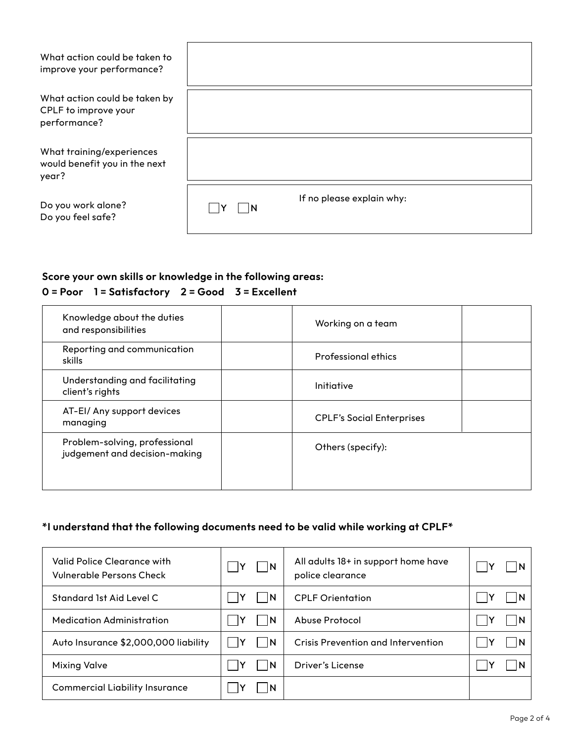| What action could be taken to<br>improve your performance?            |                                  |
|-----------------------------------------------------------------------|----------------------------------|
| What action could be taken by<br>CPLF to improve your<br>performance? |                                  |
| What training/experiences<br>would benefit you in the next<br>year?   |                                  |
| Do you work alone?<br>Do you feel safe?                               | If no please explain why:<br>IN. |

## **Score your own skills or knowledge in the following areas:**

## **0 = Poor 1 = Satisfactory 2 = Good 3 = Excellent**

| Knowledge about the duties<br>and responsibilities             | Working on a team                |  |  |  |
|----------------------------------------------------------------|----------------------------------|--|--|--|
| Reporting and communication<br>skills                          | <b>Professional ethics</b>       |  |  |  |
| Understanding and facilitating<br>client's rights              | Initiative                       |  |  |  |
| AT-EI/ Any support devices<br>managing                         | <b>CPLF's Social Enterprises</b> |  |  |  |
| Problem-solving, professional<br>judgement and decision-making | Others (specify):                |  |  |  |

## **\*I understand that the following documents need to be valid while working at CPLF\***

| Valid Police Clearance with<br>Vulnerable Persons Check | $\vert$ N | All adults 18+ in support home have<br>police clearance |  |
|---------------------------------------------------------|-----------|---------------------------------------------------------|--|
| Standard 1st Aid Level C                                | I IN      | <b>CPLF Orientation</b>                                 |  |
| <b>Medication Administration</b>                        | <b>N</b>  | Abuse Protocol                                          |  |
| Auto Insurance \$2,000,000 liability                    | I IN      | Crisis Prevention and Intervention                      |  |
| <b>Mixing Valve</b>                                     | - IN      | Driver's License                                        |  |
| <b>Commercial Liability Insurance</b>                   |           |                                                         |  |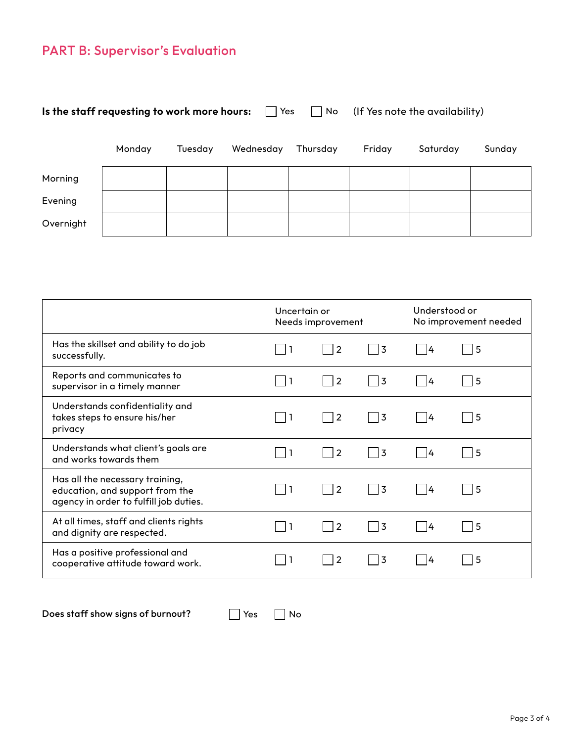## PART B: Supervisor's Evaluation

| Is the staff requesting to work more hours:<br>$\blacksquare$ Yes<br>No. |        |         | (If Yes note the availability) |          |        |          |        |
|--------------------------------------------------------------------------|--------|---------|--------------------------------|----------|--------|----------|--------|
|                                                                          | Monday | Tuesday | Wednesday                      | Thursday | Friday | Saturday | Sunday |
| Morning                                                                  |        |         |                                |          |        |          |        |
| Evening                                                                  |        |         |                                |          |        |          |        |
| Overnight                                                                |        |         |                                |          |        |          |        |

|                                                                                                              |     | Uncertain or<br>Needs improvement |                |    | Understood or<br>No improvement needed |  |
|--------------------------------------------------------------------------------------------------------------|-----|-----------------------------------|----------------|----|----------------------------------------|--|
| Has the skillset and ability to do job<br>successfully.                                                      |     | 2                                 | 3              | 14 | 5                                      |  |
| Reports and communicates to<br>supervisor in a timely manner                                                 | -1  | $\overline{2}$                    | 3              | 14 | 5                                      |  |
| Understands confidentiality and<br>takes steps to ensure his/her<br>privacy                                  |     | $\overline{2}$                    | 3              | 14 | 5                                      |  |
| Understands what client's goals are<br>and works towards them                                                | - 1 | $\overline{2}$<br>I.              | 3              | 14 | 5                                      |  |
| Has all the necessary training,<br>education, and support from the<br>agency in order to fulfill job duties. |     | $\overline{2}$                    | 13             | 4  | 5                                      |  |
| At all times, staff and clients rights<br>and dignity are respected.                                         | -1  | $\overline{2}$                    | $\overline{3}$ | 14 | 5                                      |  |
| Has a positive professional and<br>cooperative attitude toward work.                                         |     | $\overline{2}$                    | 3              | 4  | 5                                      |  |

Does staff show signs of burnout?  $\Box$  Yes  $\Box$  No